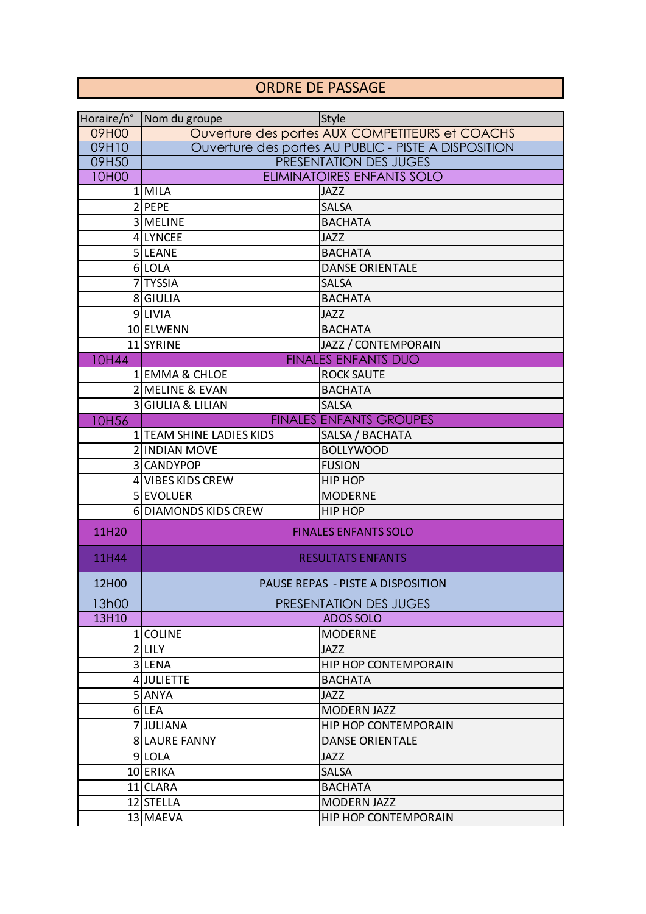## ORDRE DE PASSAGE

| Horaire/n°  | Nom du groupe                                   | <b>Style</b>                                         |  |
|-------------|-------------------------------------------------|------------------------------------------------------|--|
| 09H00       | Ouverture des portes AUX COMPETITEURS et COACHS |                                                      |  |
| 09H10       |                                                 | Ouverture des portes AU PUBLIC - PISTE A DISPOSITION |  |
| 09H50       |                                                 | PRESENTATION DES JUGES                               |  |
| 10H00       |                                                 | <b>ELIMINATOIRES ENFANTS SOLO</b>                    |  |
|             | 1 MILA                                          | <b>JAZZ</b>                                          |  |
|             | 2 PEPE                                          | <b>SALSA</b>                                         |  |
|             | 3 MELINE                                        | <b>BACHATA</b>                                       |  |
|             | 4 LYNCEE                                        | <b>JAZZ</b>                                          |  |
|             | 5LEANE                                          | <b>BACHATA</b>                                       |  |
|             | 6 LOLA                                          | <b>DANSE ORIENTALE</b>                               |  |
|             | 7TYSSIA                                         | <b>SALSA</b>                                         |  |
|             | 8 GIULIA                                        | <b>BACHATA</b>                                       |  |
|             | 9LIVIA                                          | <b>JAZZ</b>                                          |  |
|             | 10 ELWENN                                       | <b>BACHATA</b>                                       |  |
|             | 11 SYRINE                                       | JAZZ / CONTEMPORAIN                                  |  |
| 10H44       |                                                 | <b>FINALES ENFANTS DUO</b>                           |  |
|             | 1 EMMA & CHLOE                                  | <b>ROCK SAUTE</b>                                    |  |
|             | 2 MELINE & EVAN                                 | <b>BACHATA</b>                                       |  |
|             | 3 GIULIA & LILIAN                               | <b>SALSA</b>                                         |  |
| <b>OH56</b> | <b>FINALES ENFANTS GROUPES</b>                  |                                                      |  |
|             | 1 TEAM SHINE LADIES KIDS                        | SALSA / BACHATA                                      |  |
|             | 2 INDIAN MOVE                                   | <b>BOLLYWOOD</b>                                     |  |
|             | 3 CANDYPOP                                      | <b>FUSION</b>                                        |  |
|             | 4 VIBES KIDS CREW                               | <b>HIP HOP</b>                                       |  |
|             | 5 EVOLUER                                       | <b>MODERNE</b>                                       |  |
|             | 6DIAMONDS KIDS CREW                             | <b>HIP HOP</b>                                       |  |
| 11H20       |                                                 | <b>FINALES ENFANTS SOLO</b>                          |  |
|             |                                                 |                                                      |  |
| 11H44       | <b>RESULTATS ENFANTS</b>                        |                                                      |  |
| 12H00       |                                                 | PAUSE REPAS - PISTE A DISPOSITION                    |  |
| 13h00       | PRESENTATION DES JUGES                          |                                                      |  |
| 13H10       |                                                 | <b>ADOS SOLO</b>                                     |  |
|             | 1COLINE                                         | <b>MODERNE</b>                                       |  |
|             | $2$ LILY                                        | <b>JAZZ</b>                                          |  |
|             | 3LENA                                           | <b>HIP HOP CONTEMPORAIN</b>                          |  |
|             | 4 JULIETTE                                      | <b>BACHATA</b>                                       |  |
|             | 5 ANYA                                          | <b>JAZZ</b>                                          |  |
|             | 6LEA                                            | <b>MODERN JAZZ</b>                                   |  |
|             | 7JULIANA                                        | HIP HOP CONTEMPORAIN                                 |  |
|             | <b>8 LAURE FANNY</b>                            | <b>DANSE ORIENTALE</b>                               |  |
|             | 9 LOLA                                          | <b>JAZZ</b>                                          |  |
|             | 10 ERIKA                                        | <b>SALSA</b>                                         |  |
|             | 11 CLARA                                        | <b>BACHATA</b>                                       |  |
|             | 12 STELLA                                       | <b>MODERN JAZZ</b>                                   |  |
|             | 13 MAEVA                                        | HIP HOP CONTEMPORAIN                                 |  |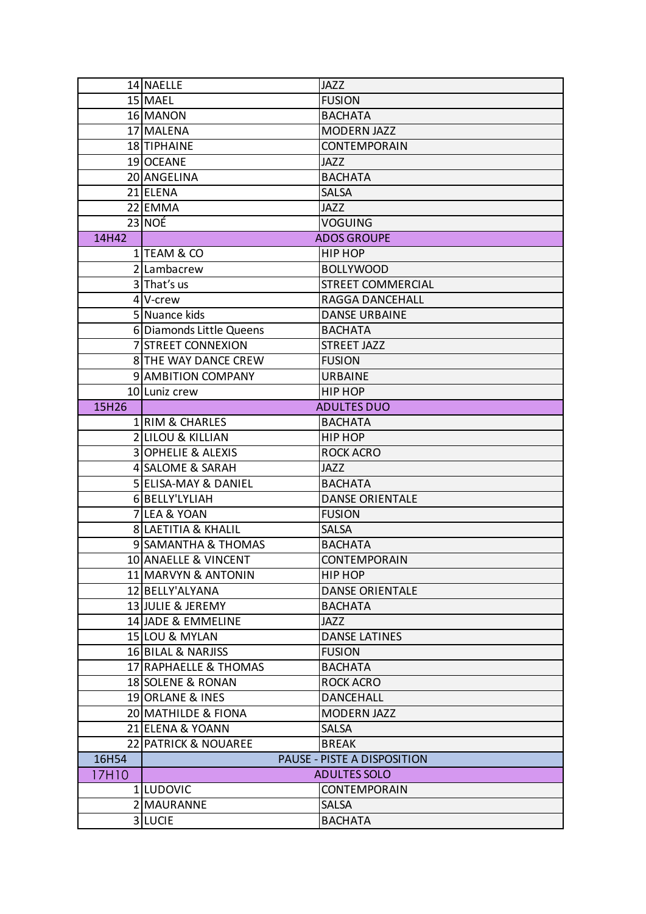|       | 14 NAELLE                      | <b>JAZZ</b>                 |  |
|-------|--------------------------------|-----------------------------|--|
|       | 15 MAEL                        | <b>FUSION</b>               |  |
|       | 16 MANON                       | <b>BACHATA</b>              |  |
|       | 17 MALENA                      | <b>MODERN JAZZ</b>          |  |
|       | 18 TIPHAINE                    | <b>CONTEMPORAIN</b>         |  |
|       | 19 OCEANE                      | <b>JAZZ</b>                 |  |
|       | 20 ANGELINA                    | <b>BACHATA</b>              |  |
|       | 21 ELENA                       | <b>SALSA</b>                |  |
|       | 22 EMMA                        | <b>JAZZ</b>                 |  |
|       | 23 NOÉ                         | <b>VOGUING</b>              |  |
| 14H42 | <b>ADOS GROUPE</b>             |                             |  |
|       | 1 TEAM & CO                    | HIP HOP                     |  |
|       | 2 Lambacrew                    | <b>BOLLYWOOD</b>            |  |
|       | 3 That's us                    | <b>STREET COMMERCIAL</b>    |  |
|       | 4 V-crew                       | <b>RAGGA DANCEHALL</b>      |  |
|       | 5 Nuance kids                  | <b>DANSE URBAINE</b>        |  |
|       | 6 Diamonds Little Queens       | <b>BACHATA</b>              |  |
|       | <b>7 STREET CONNEXION</b>      | <b>STREET JAZZ</b>          |  |
|       | <b>8 THE WAY DANCE CREW</b>    | <b>FUSION</b>               |  |
|       | <b>9 AMBITION COMPANY</b>      | <b>URBAINE</b>              |  |
|       | 10 Luniz crew                  | HIP HOP                     |  |
| 15H26 |                                | <b>ADULTES DUO</b>          |  |
|       | 1 RIM & CHARLES                | <b>BACHATA</b>              |  |
|       | <b>2 LILOU &amp; KILLIAN</b>   | HIP HOP                     |  |
|       | <b>3 OPHELIE &amp; ALEXIS</b>  | <b>ROCK ACRO</b>            |  |
|       | 4 SALOME & SARAH               | <b>JAZZ</b>                 |  |
|       | 5 ELISA-MAY & DANIEL           | <b>BACHATA</b>              |  |
|       | 6BELLY'LYLIAH                  | <b>DANSE ORIENTALE</b>      |  |
|       | 7 LEA & YOAN                   | <b>FUSION</b>               |  |
|       | <b>8 LAETITIA &amp; KHALIL</b> | <b>SALSA</b>                |  |
|       | 9 SAMANTHA & THOMAS            | <b>BACHATA</b>              |  |
|       | 10 ANAELLE & VINCENT           | <b>CONTEMPORAIN</b>         |  |
|       | 11 MARVYN & ANTONIN            | HIP HOP                     |  |
|       | 12 BELLY'ALYANA                | <b>DANSE ORIENTALE</b>      |  |
|       | 13 JULIE & JEREMY              | <b>BACHATA</b>              |  |
|       | 14 JADE & EMMELINE             | JAZZ                        |  |
|       | 15 LOU & MYLAN                 | <b>DANSE LATINES</b>        |  |
|       | 16 BILAL & NARJISS             | <b>FUSION</b>               |  |
|       | 17 RAPHAELLE & THOMAS          | <b>BACHATA</b>              |  |
|       | 18 SOLENE & RONAN              | <b>ROCK ACRO</b>            |  |
|       | 19 ORLANE & INES               | <b>DANCEHALL</b>            |  |
|       | 20 MATHILDE & FIONA            | <b>MODERN JAZZ</b>          |  |
|       | 21 ELENA & YOANN               | <b>SALSA</b>                |  |
|       | 22 PATRICK & NOUAREE           | <b>BREAK</b>                |  |
| 16H54 |                                | PAUSE - PISTE A DISPOSITION |  |
| 17H10 |                                | <b>ADULTES SOLO</b>         |  |
|       | 1 LUDOVIC                      | CONTEMPORAIN                |  |
|       | 2 MAURANNE                     | <b>SALSA</b>                |  |
|       | 3 LUCIE                        | <b>BACHATA</b>              |  |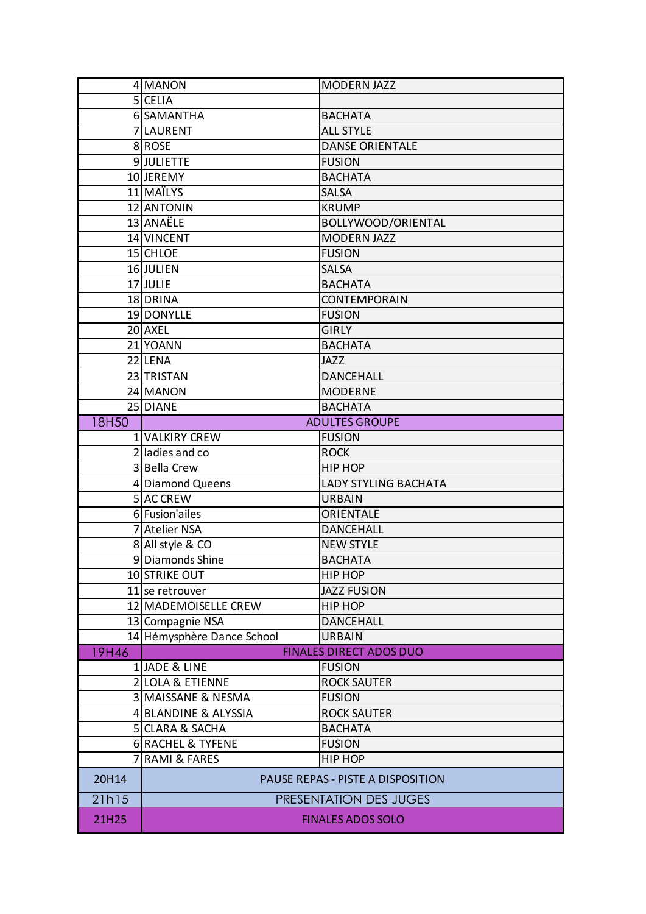|              | 4 MANON                           | MODERN JAZZ            |  |
|--------------|-----------------------------------|------------------------|--|
|              | 5 CELIA                           |                        |  |
|              | 6 SAMANTHA                        | <b>BACHATA</b>         |  |
|              | 7LAURENT                          | <b>ALL STYLE</b>       |  |
|              | 8ROSE                             | <b>DANSE ORIENTALE</b> |  |
|              | 9JJULIETTE                        | <b>FUSION</b>          |  |
|              | 10 JEREMY                         | <b>BACHATA</b>         |  |
|              | 11 MAÏLYS                         | <b>SALSA</b>           |  |
|              | 12 ANTONIN                        | <b>KRUMP</b>           |  |
|              | 13 ANAËLE                         | BOLLYWOOD/ORIENTAL     |  |
|              | 14 VINCENT                        | <b>MODERN JAZZ</b>     |  |
|              | 15 CHLOE                          | <b>FUSION</b>          |  |
|              | 16 JULIEN                         | <b>SALSA</b>           |  |
|              | 17 JULIE                          | <b>BACHATA</b>         |  |
|              | 18 DRINA                          | CONTEMPORAIN           |  |
|              | 19 DONYLLE                        | <b>FUSION</b>          |  |
|              | 20 AXEL                           | <b>GIRLY</b>           |  |
|              | 21 YOANN                          | <b>BACHATA</b>         |  |
|              | 22 LENA                           | <b>JAZZ</b>            |  |
|              | 23 TRISTAN                        | <b>DANCEHALL</b>       |  |
|              | 24 MANON                          | <b>MODERNE</b>         |  |
|              | 25 DIANE                          | <b>BACHATA</b>         |  |
| 18H50        |                                   | <b>ADULTES GROUPE</b>  |  |
|              | 1 VALKIRY CREW                    | <b>FUSION</b>          |  |
|              | 2 ladies and co                   | <b>ROCK</b>            |  |
|              | 3 Bella Crew                      | HIP HOP                |  |
|              | 4 Diamond Queens                  | LADY STYLING BACHATA   |  |
|              | 5 AC CREW                         | <b>URBAIN</b>          |  |
|              | 6 Fusion'ailes                    | ORIENTALE              |  |
|              | 7 Atelier NSA                     | <b>DANCEHALL</b>       |  |
|              | 8 All style & CO                  | <b>NEW STYLE</b>       |  |
|              | 9 Diamonds Shine                  | <b>BACHATA</b>         |  |
|              | 10 STRIKE OUT                     | HIP HOP                |  |
|              | 11 se retrouver                   | <b>JAZZ FUSION</b>     |  |
|              | 12 MADEMOISELLE CREW              | HIP HOP                |  |
|              | 13 Compagnie NSA                  | <b>DANCEHALL</b>       |  |
|              | 14 Hémysphère Dance School        | <b>URBAIN</b>          |  |
| <b>19H46</b> | <b>FINALES DIRECT ADOS DUO</b>    |                        |  |
|              | 1JADE & LINE                      | <b>FUSION</b>          |  |
|              | 2 LOLA & ETIENNE                  | <b>ROCK SAUTER</b>     |  |
|              | 3 MAISSANE & NESMA                | <b>FUSION</b>          |  |
|              | 4 BLANDINE & ALYSSIA              | <b>ROCK SAUTER</b>     |  |
|              | 5 CLARA & SACHA                   | <b>BACHATA</b>         |  |
|              | 6 RACHEL & TYFENE                 | <b>FUSION</b>          |  |
|              | 7 RAMI & FARES                    | <b>HIP HOP</b>         |  |
| 20H14        | PAUSE REPAS - PISTE A DISPOSITION |                        |  |
| 21h15        | PRESENTATION DES JUGES            |                        |  |
| 21H25        | <b>FINALES ADOS SOLO</b>          |                        |  |